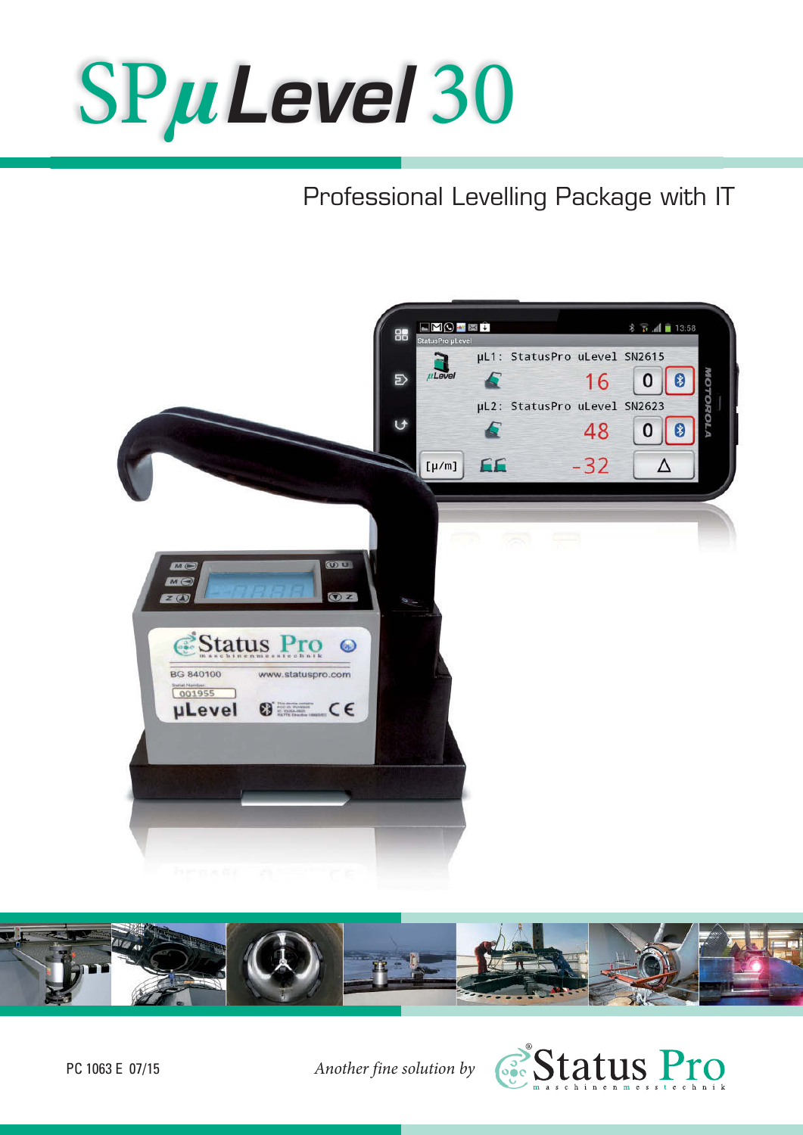

# Professional Levelling Package with IT





*Another fine solution by*

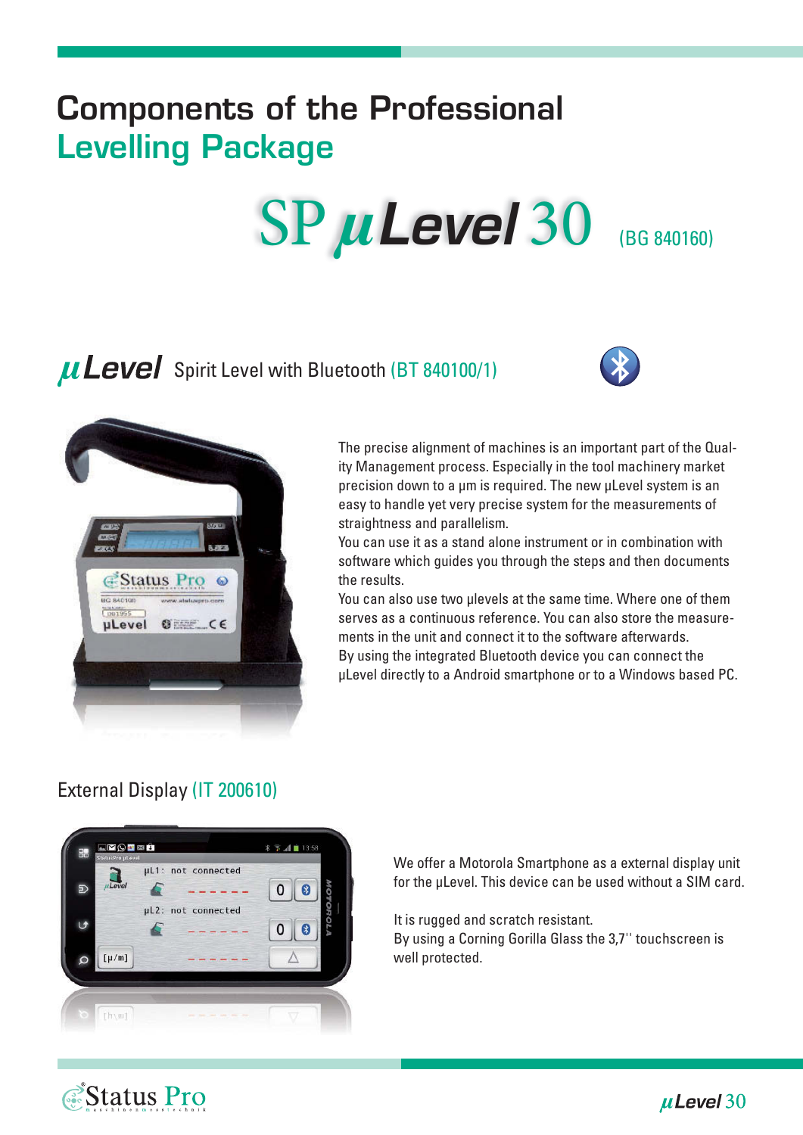# **Components of the Professional Levelling Package**

# SP *µLevel* 30 (BG 840160)

# $\mu$  Level Spirit Level with Bluetooth (BT 840100/1)





The precise alignment of machines is an important part of the Quality Management process. Especially in the tool machinery market precision down to a µm is required. The new µLevel system is an easy to handle yet very precise system for the measurements of straightness and parallelism.

You can use it as a stand alone instrument or in combination with software which guides you through the steps and then documents the results.

You can also use two ulevels at the same time. Where one of them serves as a continuous reference. You can also store the measurements in the unit and connect it to the software afterwards. By using the integrated Bluetooth device you can connect the µLevel directly to a Android smartphone or to a Windows based PC.

## External Display (IT 200610)



We offer a Motorola Smartphone as a external display unit for the µLevel. This device can be used without a SIM card.

It is rugged and scratch resistant. By using a Corning Gorilla Glass the 3,7'' touchscreen is well protected.

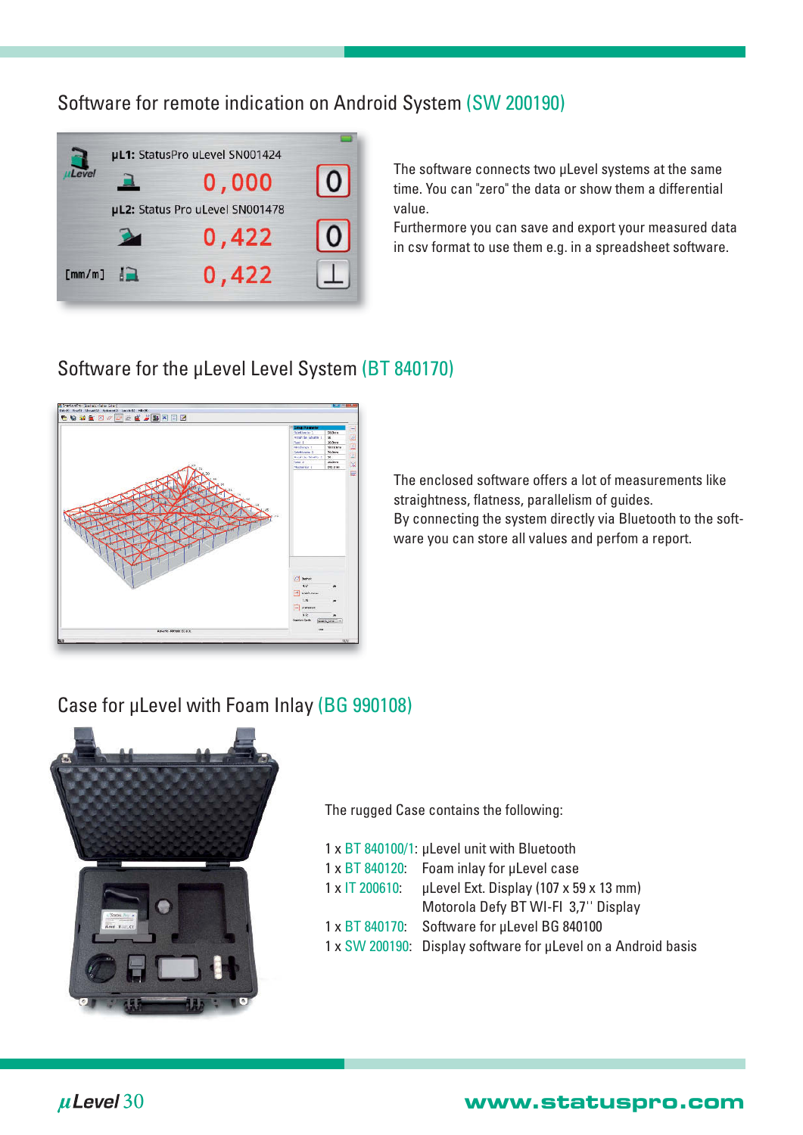## Software for remote indication on Android System (SW 200190)



The software connects two µLevel systems at the same time. You can "zero" the data or show them a differential value.

Furthermore you can save and export your measured data in csv format to use them e.g. in a spreadsheet software.

### Software for the µLevel Level System (BT 840170)



The enclosed software offers a lot of measurements like straightness, flatness, parallelism of guides. By connecting the system directly via Bluetooth to the software you can store all values and perfom a report.

## Case for µLevel with Foam Inlay (BG 990108)



The rugged Case contains the following:

|                | 1 x BT 840100/1: µLevel unit with Bluetooth                   |
|----------------|---------------------------------------------------------------|
|                | 1 x BT 840120: Foam inlay for uLevel case                     |
| 1 x IT 200610: | $\mu$ Level Ext. Display (107 x 59 x 13 mm)                   |
|                | Motorola Defy BT WI-FI 3,7" Display                           |
|                | 1 x BT 840170: Software for µLevel BG 840100                  |
|                | 1 x SW 200190: Display software for uLevel on a Android basis |

#### **www.statuspro.com**